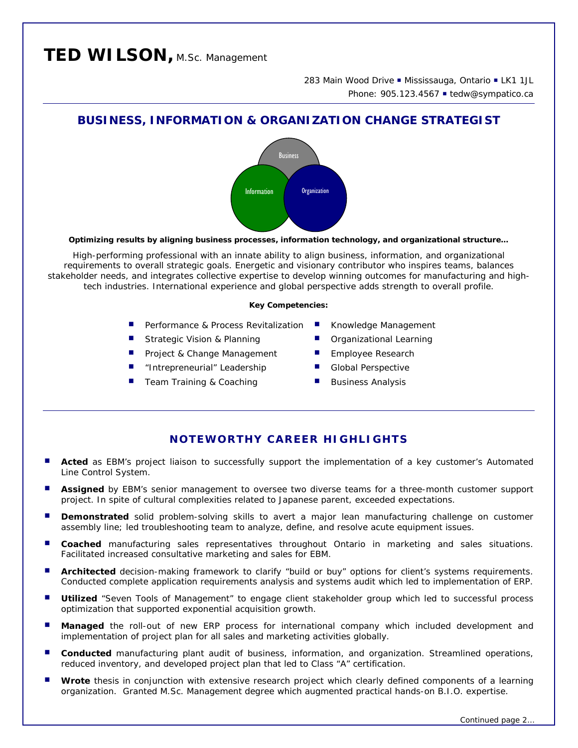# **TED WILSON,** M.Sc. Management

283 Main Wood Drive . Mississauga, Ontario . LK1 1JL Phone: 905.123.4567 • tedw@sympatico.ca

# **BUSINESS, INFORMATION & ORGANIZATION CHANGE STRATEGIST**



*Optimizing results by aligning business processes, information technology, and organizational structure…* 

High-performing professional with an innate ability to align business, information, and organizational requirements to overall strategic goals. Energetic and visionary contributor who inspires teams, balances stakeholder needs, and integrates collective expertise to develop winning outcomes for manufacturing and hightech industries. International experience and global perspective adds strength to overall profile.

#### *Key Competencies:*

- Performance & Process Revitalization Knowledge Management
- Strategic Vision & Planning **Calcular** Organizational Learning
- Project & Change Management Employee Research
- "Intrepreneurial" Leadership Global Perspective
- Team Training & Coaching Business Analysis
- 
- 
- 
- 
- 

# **NOTEWORTHY CAREER HIGHLIGHTS**

- **Acted** as EBM's project liaison to successfully support the implementation of a key customer's Automated Line Control System.
- **Assigned** by EBM's senior management to oversee two diverse teams for a three-month customer support project. In spite of cultural complexities related to Japanese parent, exceeded expectations.
- **Demonstrated** solid problem-solving skills to avert a major lean manufacturing challenge on customer assembly line; led troubleshooting team to analyze, define, and resolve acute equipment issues.
- **Coached** manufacturing sales representatives throughout Ontario in marketing and sales situations. Facilitated increased consultative marketing and sales for EBM.
- **Architected** decision-making framework to clarify "build or buy" options for client's systems requirements. Conducted complete application requirements analysis and systems audit which led to implementation of ERP.
- **Utilized** "Seven Tools of Management" to engage client stakeholder group which led to successful process optimization that supported exponential acquisition growth.
- **Managed** the roll-out of new ERP process for international company which included development and implementation of project plan for all sales and marketing activities globally.
- **Conducted** manufacturing plant audit of business, information, and organization. Streamlined operations, reduced inventory, and developed project plan that led to Class "A" certification.
- **Wrote** thesis in conjunction with extensive research project which clearly defined components of a learning organization. Granted M.Sc. Management degree which augmented practical hands-on B.I.O. expertise.